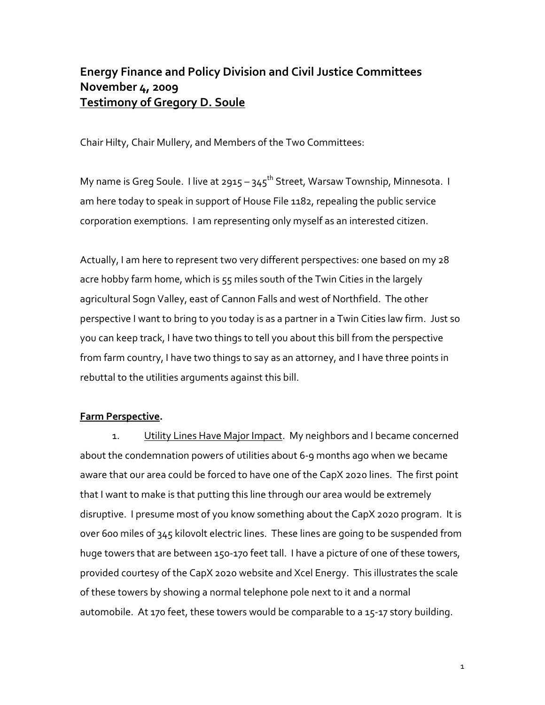## Energy Finance and Policy Division and Civil Justice Committees November 4, 2009 Testimony of Gregory D. Soule

Chair Hilty, Chair Mullery, and Members of the Two Committees:

My name is Greg Soule. I live at 2915 – 345<sup>th</sup> Street, Warsaw Township, Minnesota. I am here today to speak in support of House File 1182, repealing the public service corporation exemptions. I am representing only myself as an interested citizen.

Actually, I am here to represent two very different perspectives: one based on my 28 acre hobby farm home, which is 55 miles south of the Twin Cities in the largely agricultural Sogn Valley, east of Cannon Falls and west of Northfield. The other perspective I want to bring to you today is as a partner in a Twin Cities law firm. Just so you can keep track, I have two things to tell you about this bill from the perspective from farm country, I have two things to say as an attorney, and I have three points in rebuttal to the utilities arguments against this bill.

## Farm Perspective.

1. Utility Lines Have Major Impact. My neighbors and I became concerned about the condemnation powers of utilities about 6-9 months ago when we became aware that our area could be forced to have one of the CapX 2020 lines. The first point that I want to make is that putting this line through our area would be extremely disruptive. I presume most of you know something about the CapX 2020 program. It is over 600 miles of 345 kilovolt electric lines. These lines are going to be suspended from huge towers that are between 150-170 feet tall. I have a picture of one of these towers, provided courtesy of the CapX 2020 website and Xcel Energy. This illustrates the scale of these towers by showing a normal telephone pole next to it and a normal automobile. At 170 feet, these towers would be comparable to a 15-17 story building.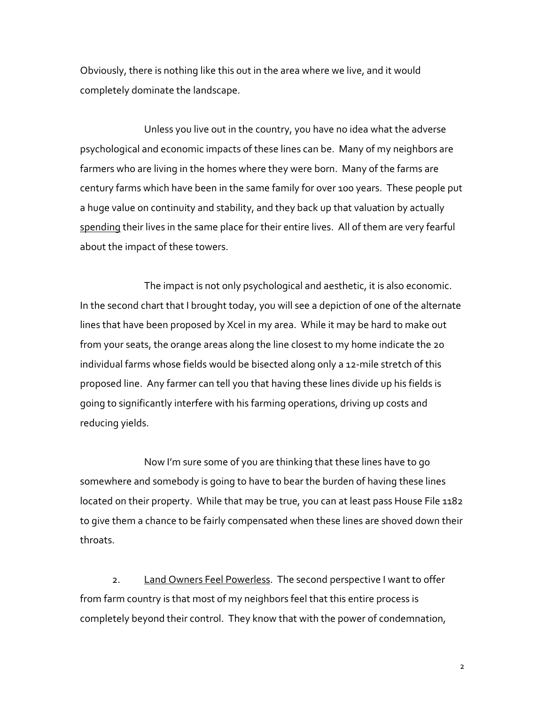Obviously, there is nothing like this out in the area where we live, and it would completely dominate the landscape.

 Unless you live out in the country, you have no idea what the adverse psychological and economic impacts of these lines can be. Many of my neighbors are farmers who are living in the homes where they were born. Many of the farms are century farms which have been in the same family for over 100 years. These people put a huge value on continuity and stability, and they back up that valuation by actually spending their lives in the same place for their entire lives. All of them are very fearful about the impact of these towers.

The impact is not only psychological and aesthetic, it is also economic. In the second chart that I brought today, you will see a depiction of one of the alternate lines that have been proposed by Xcel in my area. While it may be hard to make out from your seats, the orange areas along the line closest to my home indicate the 20 individual farms whose fields would be bisected along only a 12-mile stretch of this proposed line. Any farmer can tell you that having these lines divide up his fields is going to significantly interfere with his farming operations, driving up costs and reducing yields.

 Now I'm sure some of you are thinking that these lines have to go somewhere and somebody is going to have to bear the burden of having these lines located on their property. While that may be true, you can at least pass House File 1182 to give them a chance to be fairly compensated when these lines are shoved down their throats.

2. Land Owners Feel Powerless. The second perspective I want to offer from farm country is that most of my neighbors feel that this entire process is completely beyond their control. They know that with the power of condemnation,

2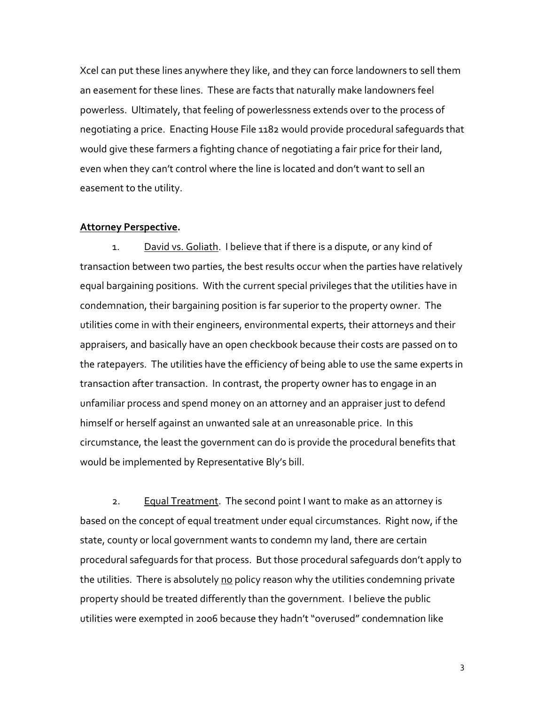Xcel can put these lines anywhere they like, and they can force landowners to sell them an easement for these lines. These are facts that naturally make landowners feel powerless. Ultimately, that feeling of powerlessness extends over to the process of negotiating a price. Enacting House File 1182 would provide procedural safeguards that would give these farmers a fighting chance of negotiating a fair price for their land, even when they can't control where the line is located and don't want to sell an easement to the utility.

## Attorney Perspective.

1. David vs. Goliath. I believe that if there is a dispute, or any kind of transaction between two parties, the best results occur when the parties have relatively equal bargaining positions. With the current special privileges that the utilities have in condemnation, their bargaining position is far superior to the property owner. The utilities come in with their engineers, environmental experts, their attorneys and their appraisers, and basically have an open checkbook because their costs are passed on to the ratepayers. The utilities have the efficiency of being able to use the same experts in transaction after transaction. In contrast, the property owner has to engage in an unfamiliar process and spend money on an attorney and an appraiser just to defend himself or herself against an unwanted sale at an unreasonable price. In this circumstance, the least the government can do is provide the procedural benefits that would be implemented by Representative Bly's bill.

2. Equal Treatment. The second point I want to make as an attorney is based on the concept of equal treatment under equal circumstances. Right now, if the state, county or local government wants to condemn my land, there are certain procedural safeguards for that process. But those procedural safeguards don't apply to the utilities. There is absolutely no policy reason why the utilities condemning private property should be treated differently than the government. I believe the public utilities were exempted in 2006 because they hadn't "overused" condemnation like

3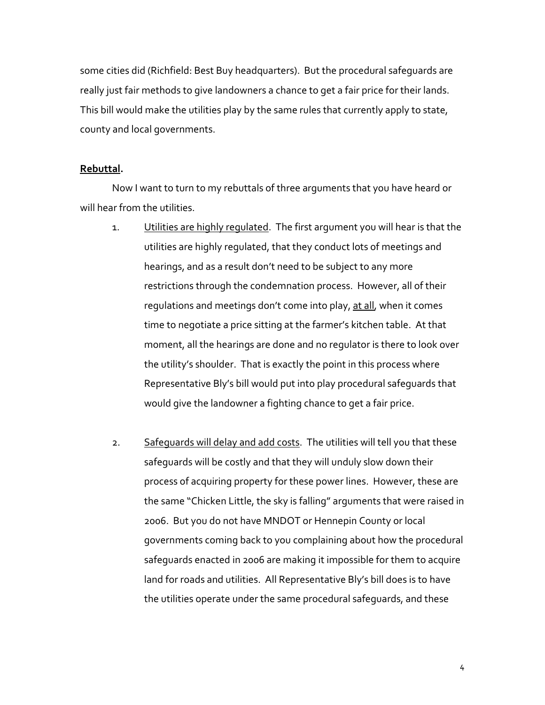some cities did (Richfield: Best Buy headquarters). But the procedural safeguards are really just fair methods to give landowners a chance to get a fair price for their lands. This bill would make the utilities play by the same rules that currently apply to state, county and local governments.

## Rebuttal.

 Now I want to turn to my rebuttals of three arguments that you have heard or will hear from the utilities.

- 1. Utilities are highly regulated. The first argument you will hear is that the utilities are highly regulated, that they conduct lots of meetings and hearings, and as a result don't need to be subject to any more restrictions through the condemnation process. However, all of their regulations and meetings don't come into play, at all, when it comes time to negotiate a price sitting at the farmer's kitchen table. At that moment, all the hearings are done and no regulator is there to look over the utility's shoulder. That is exactly the point in this process where Representative Bly's bill would put into play procedural safeguards that would give the landowner a fighting chance to get a fair price.
- 2. Safeguards will delay and add costs. The utilities will tell you that these safeguards will be costly and that they will unduly slow down their process of acquiring property for these power lines. However, these are the same "Chicken Little, the sky is falling" arguments that were raised in 2006. But you do not have MNDOT or Hennepin County or local governments coming back to you complaining about how the procedural safeguards enacted in 2006 are making it impossible for them to acquire land for roads and utilities. All Representative Bly's bill does is to have the utilities operate under the same procedural safeguards, and these

4